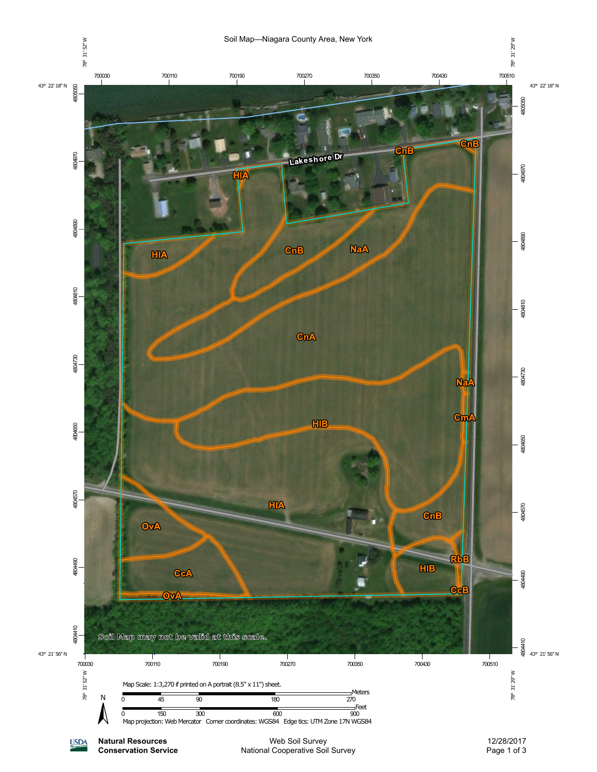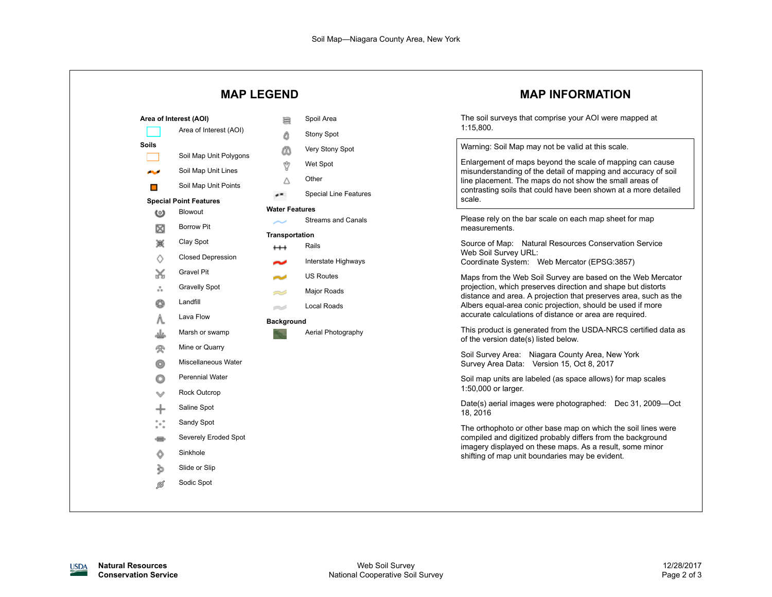